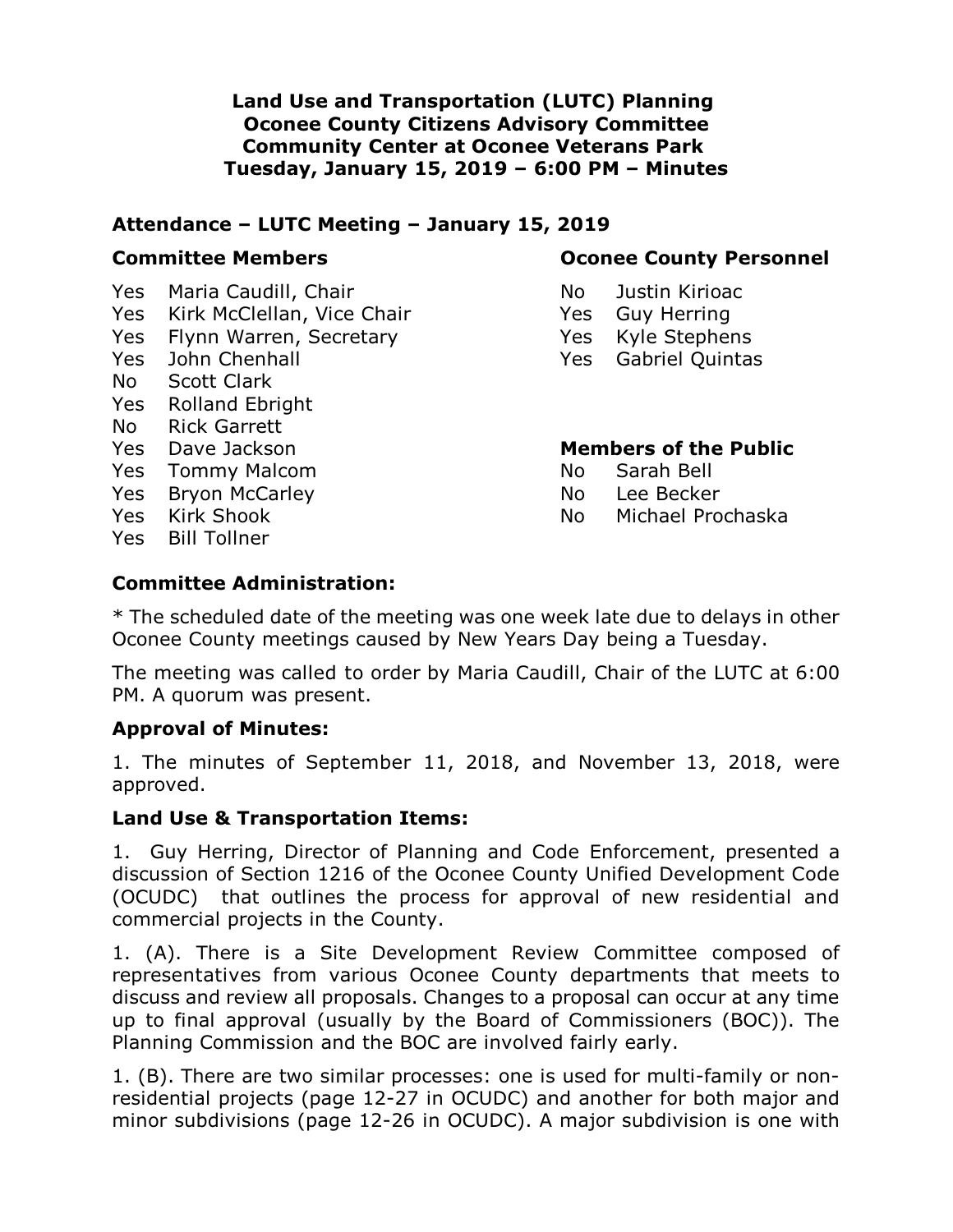**Land Use and Transportation (LUTC) Planning Oconee County Citizens Advisory Committee Community Center at Oconee Veterans Park Tuesday, January 15, 2019 – 6:00 PM – Minutes**

#### **Attendance – LUTC Meeting – January 15, 2019**

Yes Maria Caudill, Chair No Bustin Kirioac

- Yes Kirk McClellan, Vice Chair The Mass Care Herring
- Yes Flynn Warren, Secretary The Yes Kyle Stephens
- 
- No Scott Clark
- Yes Rolland Ebright
- No Rick Garrett
- 
- Yes Tommy Malcom No Sarah Bell
- Yes Bryon McCarley No Lee Becker
- 
- Yes Bill Tollner

### **Committee Members <b>Committee Members Committee Members**

- 
- 
- 
- Yes John Chenhall Yes Gabriel Quintas

#### Yes Dave Jackson **Members of the Public**

- 
- 
- Yes Kirk Shook No Michael Prochaska

## **Committee Administration:**

\* The scheduled date of the meeting was one week late due to delays in other Oconee County meetings caused by New Years Day being a Tuesday.

The meeting was called to order by Maria Caudill, Chair of the LUTC at 6:00 PM. A quorum was present.

#### **Approval of Minutes:**

1. The minutes of September 11, 2018, and November 13, 2018, were approved.

#### **Land Use & Transportation Items:**

1. Guy Herring, Director of Planning and Code Enforcement, presented a discussion of Section 1216 of the Oconee County Unified Development Code (OCUDC) that outlines the process for approval of new residential and commercial projects in the County.

1. (A). There is a Site Development Review Committee composed of representatives from various Oconee County departments that meets to discuss and review all proposals. Changes to a proposal can occur at any time up to final approval (usually by the Board of Commissioners (BOC)). The Planning Commission and the BOC are involved fairly early.

1. (B). There are two similar processes: one is used for multi-family or nonresidential projects (page 12-27 in OCUDC) and another for both major and minor subdivisions (page 12-26 in OCUDC). A major subdivision is one with